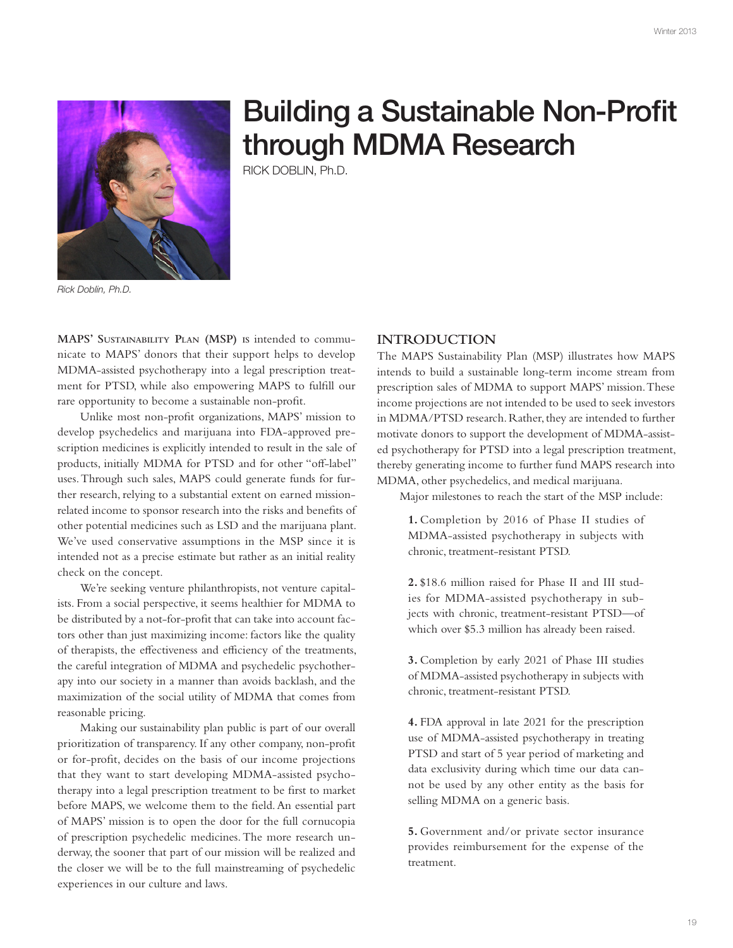

# Building a Sustainable Non-Profit through MDMA Research

RICK DOBLIN, Ph.D.

Rick Doblin, Ph.D.

**MAPS' SUSTAINABILITY PLAN (MSP) IS** intended to communicate to MAPS' donors that their support helps to develop MDMA-assisted psychotherapy into a legal prescription treatment for PTSD, while also empowering MAPS to fulfill our rare opportunity to become a sustainable non-profit.

Unlike most non-profit organizations, MAPS' mission to develop psychedelics and marijuana into FDA-approved prescription medicines is explicitly intended to result in the sale of products, initially MDMA for PTSD and for other "off-label" uses. Through such sales, MAPS could generate funds for further research, relying to a substantial extent on earned missionrelated income to sponsor research into the risks and benefits of other potential medicines such as LSD and the marijuana plant. We've used conservative assumptions in the MSP since it is intended not as a precise estimate but rather as an initial reality check on the concept.

We're seeking venture philanthropists, not venture capitalists. From a social perspective, it seems healthier for MDMA to be distributed by a not-for-profit that can take into account factors other than just maximizing income: factors like the quality of therapists, the effectiveness and efficiency of the treatments, the careful integration of MDMA and psychedelic psychotherapy into our society in a manner than avoids backlash, and the maximization of the social utility of MDMA that comes from reasonable pricing.

Making our sustainability plan public is part of our overall prioritization of transparency. If any other company, non-profit or for-profit, decides on the basis of our income projections that they want to start developing MDMA-assisted psychotherapy into a legal prescription treatment to be first to market before MAPS, we welcome them to the field. An essential part of MAPS' mission is to open the door for the full cornucopia of prescription psychedelic medicines. The more research underway, the sooner that part of our mission will be realized and the closer we will be to the full mainstreaming of psychedelic experiences in our culture and laws.

#### **INTRODUCTION**

The MAPS Sustainability Plan (MSP) illustrates how MAPS intends to build a sustainable long-term income stream from prescription sales of MDMA to support MAPS' mission. These income projections are not intended to be used to seek investors in MDMA/PTSD research. Rather, they are intended to further motivate donors to support the development of MDMA-assisted psychotherapy for PTSD into a legal prescription treatment, thereby generating income to further fund MAPS research into MDMA, other psychedelics, and medical marijuana.

Major milestones to reach the start of the MSP include:

**1.** Completion by 2016 of Phase II studies of MDMA-assisted psychotherapy in subjects with chronic, treatment-resistant PTSD.

**2.** \$18.6 million raised for Phase II and III studies for MDMA-assisted psychotherapy in subjects with chronic, treatment-resistant PTSD—of which over \$5.3 million has already been raised.

**3.** Completion by early 2021 of Phase III studies of MDMA-assisted psychotherapy in subjects with chronic, treatment-resistant PTSD.

**4.** FDA approval in late 2021 for the prescription use of MDMA-assisted psychotherapy in treating PTSD and start of 5 year period of marketing and data exclusivity during which time our data cannot be used by any other entity as the basis for selling MDMA on a generic basis.

**5.** Government and/or private sector insurance provides reimbursement for the expense of the treatment.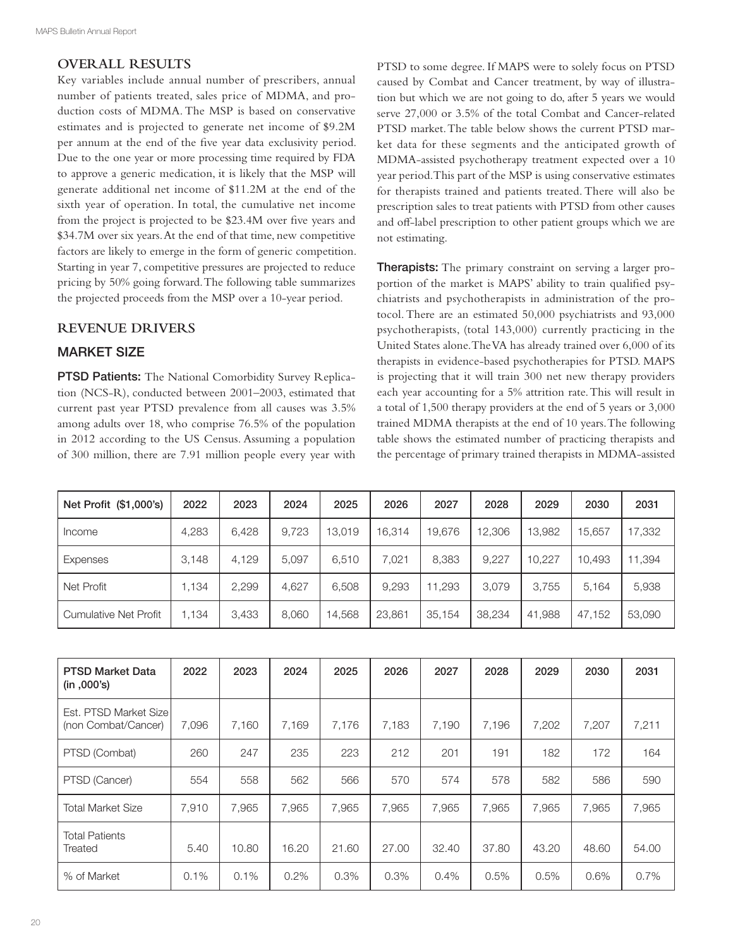## **OVERALL RESULTS**

Key variables include annual number of prescribers, annual number of patients treated, sales price of MDMA, and production costs of MDMA. The MSP is based on conservative estimates and is projected to generate net income of \$9.2M per annum at the end of the five year data exclusivity period. Due to the one year or more processing time required by FDA to approve a generic medication, it is likely that the MSP will generate additional net income of \$11.2M at the end of the sixth year of operation. In total, the cumulative net income from the project is projected to be \$23.4M over five years and \$34.7M over six years. At the end of that time, new competitive factors are likely to emerge in the form of generic competition. Starting in year 7, competitive pressures are projected to reduce pricing by 50% going forward. The following table summarizes the projected proceeds from the MSP over a 10-year period.

# **REVENUE DRIVERS**

# MARKET SIZE

PTSD Patients: The National Comorbidity Survey Replication (NCS-R), conducted between 2001–2003, estimated that current past year PTSD prevalence from all causes was 3.5% among adults over 18, who comprise 76.5% of the population in 2012 according to the US Census. Assuming a population of 300 million, there are 7.91 million people every year with

PTSD to some degree. If MAPS were to solely focus on PTSD caused by Combat and Cancer treatment, by way of illustration but which we are not going to do, after 5 years we would serve 27,000 or 3.5% of the total Combat and Cancer-related PTSD market. The table below shows the current PTSD market data for these segments and the anticipated growth of MDMA-assisted psychotherapy treatment expected over a 10 year period. This part of the MSP is using conservative estimates for therapists trained and patients treated. There will also be prescription sales to treat patients with PTSD from other causes and off-label prescription to other patient groups which we are not estimating.

Therapists: The primary constraint on serving a larger proportion of the market is MAPS' ability to train qualified psychiatrists and psychotherapists in administration of the protocol. There are an estimated 50,000 psychiatrists and 93,000 psychotherapists, (total 143,000) currently practicing in the United States alone. The VA has already trained over 6,000 of its therapists in evidence-based psychotherapies for PTSD. MAPS is projecting that it will train 300 net new therapy providers each year accounting for a 5% attrition rate. This will result in a total of 1,500 therapy providers at the end of 5 years or 3,000 trained MDMA therapists at the end of 10 years. The following table shows the estimated number of practicing therapists and the percentage of primary trained therapists in MDMA-assisted

| Net Profit (\$1,000's)       | 2022  | 2023  | 2024  | 2025   | 2026   | 2027   | 2028   | 2029   | 2030   | 2031   |
|------------------------------|-------|-------|-------|--------|--------|--------|--------|--------|--------|--------|
| Income                       | 4,283 | 6.428 | 9.723 | 13.019 | 16.314 | 19.676 | 12,306 | 13,982 | 15.657 | 17,332 |
| <b>Expenses</b>              | 3,148 | 4.129 | 5,097 | 6,510  | 7.021  | 8,383  | 9,227  | 10.227 | 10.493 | 11,394 |
| Net Profit                   | .134  | 2,299 | 4.627 | 6,508  | 9,293  | 11.293 | 3.079  | 3.755  | 5.164  | 5,938  |
| <b>Cumulative Net Profit</b> | 1.134 | 3,433 | 8,060 | 14,568 | 23,861 | 35.154 | 38.234 | 41,988 | 47,152 | 53,090 |

| <b>PTSD Market Data</b><br>(in .000's)       | 2022  | 2023  | 2024  | 2025  | 2026  | 2027  | 2028  | 2029  | 2030  | 2031    |
|----------------------------------------------|-------|-------|-------|-------|-------|-------|-------|-------|-------|---------|
| Est. PTSD Market Size<br>(non Combat/Cancer) | 7.096 | 7.160 | 7.169 | 7.176 | 7.183 | 7.190 | 7.196 | 7,202 | 7,207 | 7,211   |
| PTSD (Combat)                                | 260   | 247   | 235   | 223   | 212   | 201   | 191   | 182   | 172   | 164     |
| PTSD (Cancer)                                | 554   | 558   | 562   | 566   | 570   | 574   | 578   | 582   | 586   | 590     |
| <b>Total Market Size</b>                     | 7.910 | 7.965 | 7,965 | 7,965 | 7,965 | 7,965 | 7,965 | 7,965 | 7,965 | 7,965   |
| <b>Total Patients</b><br>Treated             | 5.40  | 10.80 | 16.20 | 21.60 | 27.00 | 32.40 | 37.80 | 43.20 | 48.60 | 54.00   |
| % of Market                                  | 0.1%  | 0.1%  | 0.2%  | 0.3%  | 0.3%  | 0.4%  | 0.5%  | 0.5%  | 0.6%  | $0.7\%$ |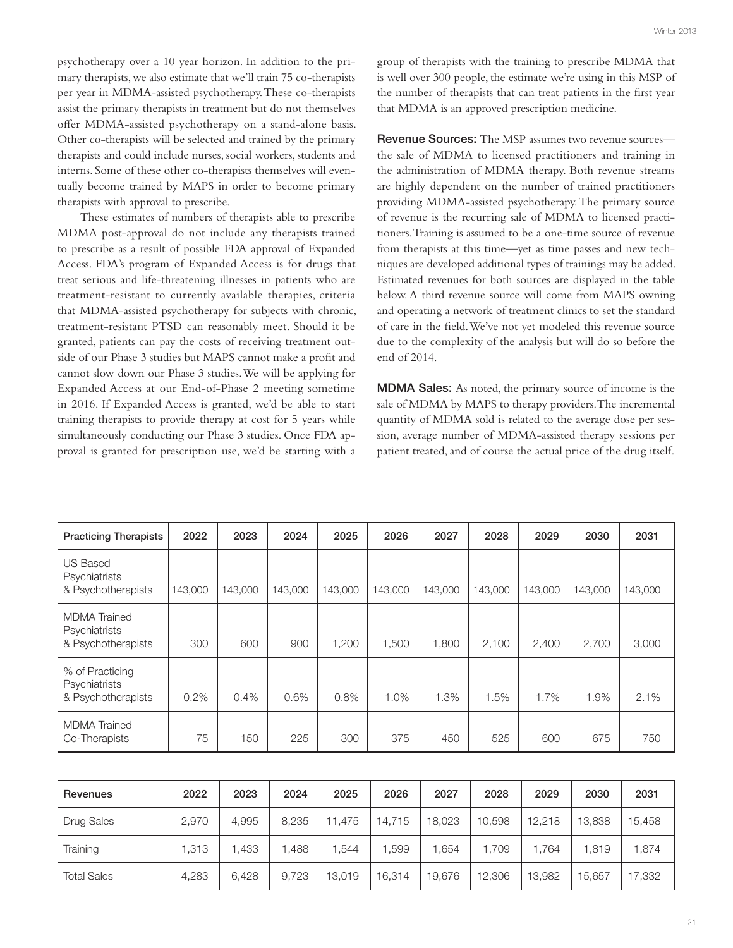psychotherapy over a 10 year horizon. In addition to the primary therapists, we also estimate that we'll train 75 co-therapists per year in MDMA-assisted psychotherapy. These co-therapists assist the primary therapists in treatment but do not themselves offer MDMA-assisted psychotherapy on a stand-alone basis. Other co-therapists will be selected and trained by the primary therapists and could include nurses, social workers, students and interns. Some of these other co-therapists themselves will eventually become trained by MAPS in order to become primary therapists with approval to prescribe.

These estimates of numbers of therapists able to prescribe MDMA post-approval do not include any therapists trained to prescribe as a result of possible FDA approval of Expanded Access. FDA's program of Expanded Access is for drugs that treat serious and life-threatening illnesses in patients who are treatment-resistant to currently available therapies, criteria that MDMA-assisted psychotherapy for subjects with chronic, treatment-resistant PTSD can reasonably meet. Should it be granted, patients can pay the costs of receiving treatment outside of our Phase 3 studies but MAPS cannot make a profit and cannot slow down our Phase 3 studies. We will be applying for Expanded Access at our End-of-Phase 2 meeting sometime in 2016. If Expanded Access is granted, we'd be able to start training therapists to provide therapy at cost for 5 years while simultaneously conducting our Phase 3 studies. Once FDA approval is granted for prescription use, we'd be starting with a group of therapists with the training to prescribe MDMA that is well over 300 people, the estimate we're using in this MSP of the number of therapists that can treat patients in the first year that MDMA is an approved prescription medicine.

Revenue Sources: The MSP assumes two revenue sources the sale of MDMA to licensed practitioners and training in the administration of MDMA therapy. Both revenue streams are highly dependent on the number of trained practitioners providing MDMA-assisted psychotherapy. The primary source of revenue is the recurring sale of MDMA to licensed practitioners. Training is assumed to be a one-time source of revenue from therapists at this time—yet as time passes and new techniques are developed additional types of trainings may be added. Estimated revenues for both sources are displayed in the table below. A third revenue source will come from MAPS owning and operating a network of treatment clinics to set the standard of care in the field. We've not yet modeled this revenue source due to the complexity of the analysis but will do so before the end of 2014.

MDMA Sales: As noted, the primary source of income is the sale of MDMA by MAPS to therapy providers. The incremental quantity of MDMA sold is related to the average dose per session, average number of MDMA-assisted therapy sessions per patient treated, and of course the actual price of the drug itself.

| <b>Practicing Therapists</b>                               | 2022    | 2023    | 2024    | 2025    | 2026    | 2027    | 2028    | 2029    | 2030    | 2031    |
|------------------------------------------------------------|---------|---------|---------|---------|---------|---------|---------|---------|---------|---------|
| <b>US Based</b><br>Psychiatrists<br>& Psychotherapists     | 143,000 | 143,000 | 143,000 | 143,000 | 143,000 | 143,000 | 143,000 | 143,000 | 143,000 | 143,000 |
| <b>MDMA</b> Trained<br>Psychiatrists<br>& Psychotherapists | 300     | 600     | 900     | 1,200   | 1,500   | 1,800   | 2,100   | 2,400   | 2,700   | 3,000   |
| % of Practicing<br>Psychiatrists<br>& Psychotherapists     | 0.2%    | 0.4%    | 0.6%    | 0.8%    | 1.0%    | 1.3%    | 1.5%    | 1.7%    | 1.9%    | 2.1%    |
| <b>MDMA</b> Trained<br>Co-Therapists                       | 75      | 150     | 225     | 300     | 375     | 450     | 525     | 600     | 675     | 750     |

| Revenues           | 2022  | 2023  | 2024  | 2025   | 2026   | 2027   | 2028   | 2029   | 2030   | 2031   |
|--------------------|-------|-------|-------|--------|--------|--------|--------|--------|--------|--------|
| <b>Drug Sales</b>  | 2,970 | 4.995 | 8,235 | 11.475 | 14,715 | 18,023 | 10,598 | 12,218 | 13,838 | 15,458 |
| Training           | ,313  | ,433  | .488  | .544   | .599   | .654   | .709   | .764   | 1.819  | ,874   |
| <b>Total Sales</b> | 4,283 | 6.428 | 9,723 | 13,019 | 16.314 | 19.676 | 12,306 | 13,982 | 15,657 | 17,332 |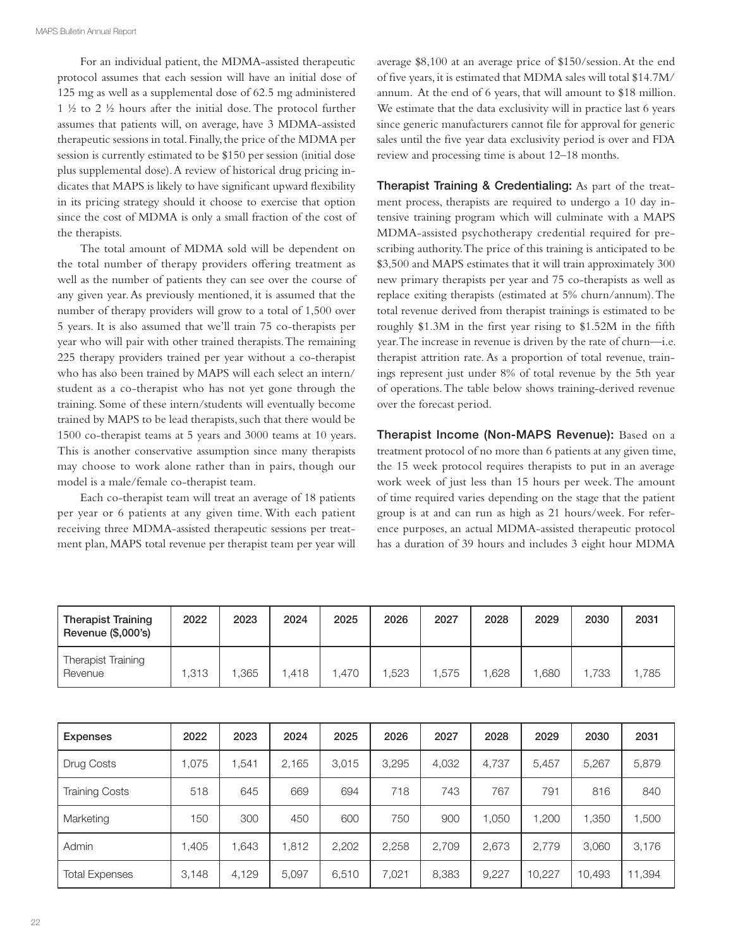For an individual patient, the MDMA-assisted therapeutic protocol assumes that each session will have an initial dose of 125 mg as well as a supplemental dose of 62.5 mg administered 1 ½ to 2 ½ hours after the initial dose. The protocol further assumes that patients will, on average, have 3 MDMA-assisted therapeutic sessions in total. Finally, the price of the MDMA per session is currently estimated to be \$150 per session (initial dose plus supplemental dose). A review of historical drug pricing indicates that MAPS is likely to have significant upward flexibility in its pricing strategy should it choose to exercise that option since the cost of MDMA is only a small fraction of the cost of the therapists.

The total amount of MDMA sold will be dependent on the total number of therapy providers offering treatment as well as the number of patients they can see over the course of any given year. As previously mentioned, it is assumed that the number of therapy providers will grow to a total of 1,500 over 5 years. It is also assumed that we'll train 75 co-therapists per year who will pair with other trained therapists. The remaining 225 therapy providers trained per year without a co-therapist who has also been trained by MAPS will each select an intern/ student as a co-therapist who has not yet gone through the training. Some of these intern/students will eventually become trained by MAPS to be lead therapists, such that there would be 1500 co-therapist teams at 5 years and 3000 teams at 10 years. This is another conservative assumption since many therapists may choose to work alone rather than in pairs, though our model is a male/female co-therapist team.

Each co-therapist team will treat an average of 18 patients per year or 6 patients at any given time. With each patient receiving three MDMA-assisted therapeutic sessions per treatment plan, MAPS total revenue per therapist team per year will average \$8,100 at an average price of \$150/session. At the end of five years, it is estimated that MDMA sales will total \$14.7M/ annum. At the end of 6 years, that will amount to \$18 million. We estimate that the data exclusivity will in practice last 6 years since generic manufacturers cannot file for approval for generic sales until the five year data exclusivity period is over and FDA review and processing time is about 12–18 months.

Therapist Training & Credentialing: As part of the treatment process, therapists are required to undergo a 10 day intensive training program which will culminate with a MAPS MDMA-assisted psychotherapy credential required for prescribing authority. The price of this training is anticipated to be \$3,500 and MAPS estimates that it will train approximately 300 new primary therapists per year and 75 co-therapists as well as replace exiting therapists (estimated at 5% churn/annum). The total revenue derived from therapist trainings is estimated to be roughly \$1.3M in the first year rising to \$1.52M in the fifth year. The increase in revenue is driven by the rate of churn—i.e. therapist attrition rate. As a proportion of total revenue, trainings represent just under 8% of total revenue by the 5th year of operations. The table below shows training-derived revenue over the forecast period.

Therapist Income (Non-MAPS Revenue): Based on a treatment protocol of no more than 6 patients at any given time, the 15 week protocol requires therapists to put in an average work week of just less than 15 hours per week. The amount of time required varies depending on the stage that the patient group is at and can run as high as 21 hours/week. For reference purposes, an actual MDMA-assisted therapeutic protocol has a duration of 39 hours and includes 3 eight hour MDMA

| <b>Therapist Training</b><br>Revenue (\$,000's) | 2022  | 2023 | 2024 | 2025 | 2026 | 2027 | 2028 | 2029 | 2030  | 2031 |
|-------------------------------------------------|-------|------|------|------|------|------|------|------|-------|------|
| <b>Therapist Training</b><br>Revenue            | 1.313 | .365 | .418 | .470 | .523 | .575 | .628 | .680 | 1.733 | .785 |

| Expenses              | 2022  | 2023  | 2024  | 2025  | 2026  | 2027  | 2028  | 2029   | 2030   | 2031   |
|-----------------------|-------|-------|-------|-------|-------|-------|-------|--------|--------|--------|
| Drug Costs            | 1.075 | 1.541 | 2,165 | 3.015 | 3,295 | 4,032 | 4,737 | 5,457  | 5,267  | 5,879  |
| <b>Training Costs</b> | 518   | 645   | 669   | 694   | 718   | 743   | 767   | 791    | 816    | 840    |
| Marketing             | 150   | 300   | 450   | 600   | 750   | 900   | 1.050 | .200   | 1,350  | 1,500  |
| Admin                 | 1.405 | 1.643 | 1,812 | 2,202 | 2,258 | 2,709 | 2,673 | 2,779  | 3,060  | 3,176  |
| <b>Total Expenses</b> | 3.148 | 4,129 | 5,097 | 6,510 | 7.021 | 8,383 | 9,227 | 10,227 | 10,493 | 11,394 |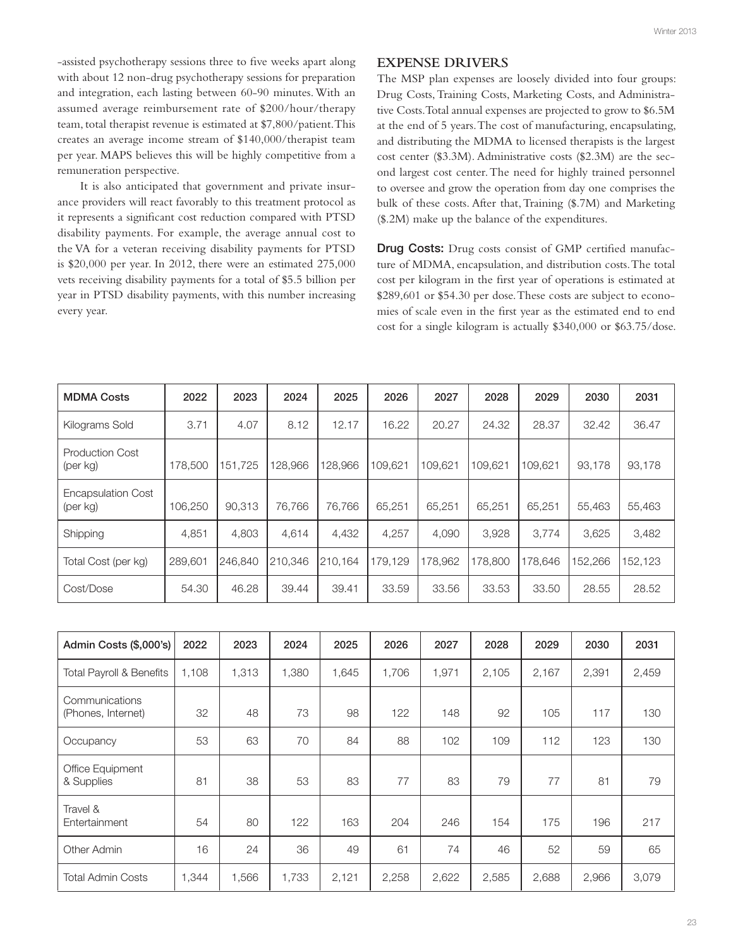-assisted psychotherapy sessions three to five weeks apart along with about 12 non-drug psychotherapy sessions for preparation and integration, each lasting between 60-90 minutes. With an assumed average reimbursement rate of \$200/hour/therapy team, total therapist revenue is estimated at \$7,800/patient. This creates an average income stream of \$140,000/therapist team per year. MAPS believes this will be highly competitive from a remuneration perspective.

It is also anticipated that government and private insurance providers will react favorably to this treatment protocol as it represents a significant cost reduction compared with PTSD disability payments. For example, the average annual cost to the VA for a veteran receiving disability payments for PTSD is \$20,000 per year. In 2012, there were an estimated 275,000 vets receiving disability payments for a total of \$5.5 billion per year in PTSD disability payments, with this number increasing every year.

#### **EXPENSE DRIVERS**

The MSP plan expenses are loosely divided into four groups: Drug Costs, Training Costs, Marketing Costs, and Administrative Costs. Total annual expenses are projected to grow to \$6.5M at the end of 5 years. The cost of manufacturing, encapsulating, and distributing the MDMA to licensed therapists is the largest cost center (\$3.3M). Administrative costs (\$2.3M) are the second largest cost center. The need for highly trained personnel to oversee and grow the operation from day one comprises the bulk of these costs. After that, Training (\$.7M) and Marketing (\$.2M) make up the balance of the expenditures.

Drug Costs: Drug costs consist of GMP certified manufacture of MDMA, encapsulation, and distribution costs. The total cost per kilogram in the first year of operations is estimated at \$289,601 or \$54.30 per dose. These costs are subject to economies of scale even in the first year as the estimated end to end cost for a single kilogram is actually \$340,000 or \$63.75/dose.

| <b>MDMA Costs</b>                     | 2022    | 2023    | 2024    | 2025    | 2026    | 2027    | 2028    | 2029    | 2030    | 2031    |
|---------------------------------------|---------|---------|---------|---------|---------|---------|---------|---------|---------|---------|
| Kilograms Sold                        | 3.71    | 4.07    | 8.12    | 12.17   | 16.22   | 20.27   | 24.32   | 28.37   | 32.42   | 36.47   |
| <b>Production Cost</b><br>(per kg)    | 178,500 | 151.725 | 128.966 | 128,966 | 109.621 | 109.621 | 109.621 | 109.621 | 93.178  | 93,178  |
| <b>Encapsulation Cost</b><br>(per kg) | 106.250 | 90.313  | 76.766  | 76.766  | 65.251  | 65.251  | 65.251  | 65.251  | 55.463  | 55,463  |
| Shipping                              | 4.851   | 4.803   | 4.614   | 4,432   | 4.257   | 4.090   | 3.928   | 3.774   | 3,625   | 3,482   |
| Total Cost (per kg)                   | 289,601 | 246.840 | 210.346 | 210.164 | 179.129 | 178.962 | 178,800 | 178,646 | 152.266 | 152,123 |
| Cost/Dose                             | 54.30   | 46.28   | 39.44   | 39.41   | 33.59   | 33.56   | 33.53   | 33.50   | 28.55   | 28.52   |

| Admin Costs (\$,000's)               | 2022  | 2023  | 2024  | 2025  | 2026  | 2027  | 2028  | 2029  | 2030  | 2031  |
|--------------------------------------|-------|-------|-------|-------|-------|-------|-------|-------|-------|-------|
| <b>Total Payroll &amp; Benefits</b>  | 1,108 | 1,313 | 1,380 | 1,645 | 1,706 | 1,971 | 2,105 | 2,167 | 2,391 | 2,459 |
| Communications<br>(Phones, Internet) | 32    | 48    | 73    | 98    | 122   | 148   | 92    | 105   | 117   | 130   |
| Occupancy                            | 53    | 63    | 70    | 84    | 88    | 102   | 109   | 112   | 123   | 130   |
| Office Equipment<br>& Supplies       | 81    | 38    | 53    | 83    | 77    | 83    | 79    | 77    | 81    | 79    |
| Travel &<br>Entertainment            | 54    | 80    | 122   | 163   | 204   | 246   | 154   | 175   | 196   | 217   |
| Other Admin                          | 16    | 24    | 36    | 49    | 61    | 74    | 46    | 52    | 59    | 65    |
| <b>Total Admin Costs</b>             | 1,344 | 1,566 | 1,733 | 2,121 | 2,258 | 2,622 | 2,585 | 2,688 | 2,966 | 3,079 |